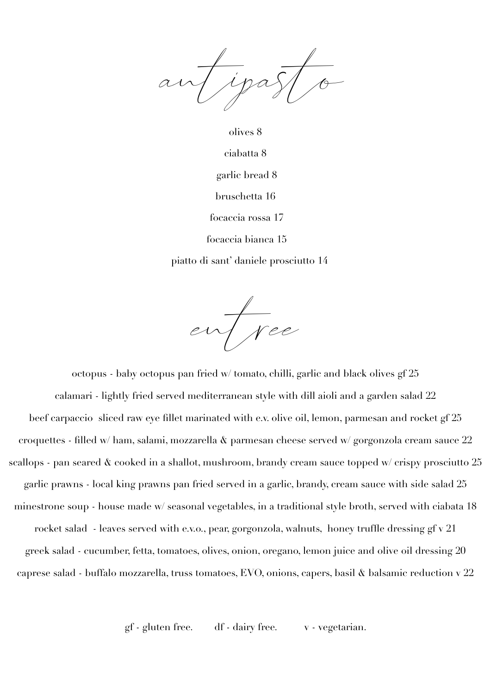Tipa

olives 8 ciabatta 8 garlic bread 8 bruschetta 16 focaccia rossa 17 focaccia bianca 15

piatto di sant' daniele prosciutto 14

entree

octopus - baby octopus pan fried w/ tomato, chilli, garlic and black olives gf 25 calamari - lightly fried served mediterranean style with dill aioli and a garden salad 22 beef carpaccio sliced raw eye fillet marinated with e.v. olive oil, lemon, parmesan and rocket gf 25 croquettes - filled w/ ham, salami, mozzarella & parmesan cheese served w/ gorgonzola cream sauce 22 scallops - pan seared & cooked in a shallot, mushroom, brandy cream sauce topped w/ crispy prosciutto 25 garlic prawns - local king prawns pan fried served in a garlic, brandy, cream sauce with side salad 25 minestrone soup - house made w/ seasonal vegetables, in a traditional style broth, served with ciabata 18 rocket salad - leaves served with e.v.o., pear, gorgonzola, walnuts, honey truffle dressing gf v 21 greek salad - cucumber, fetta, tomatoes, olives, onion, oregano, lemon juice and olive oil dressing 20 caprese salad - buffalo mozzarella, truss tomatoes, EVO, onions, capers, basil & balsamic reduction v 22

gf - gluten free. df - dairy free. v - vegetarian.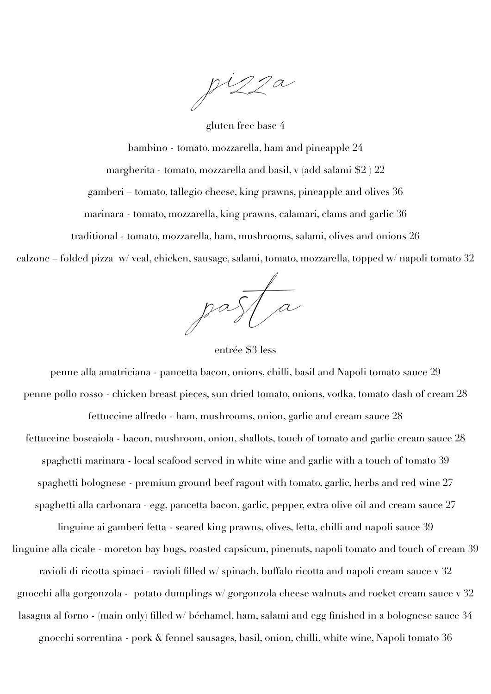pizza

gluten free base 4

bambino - tomato, mozzarella, ham and pineapple 24

margherita - tomato, mozzarella and basil, v (add salami \$2 ) 22

gamberi – tomato, tallegio cheese, king prawns, pineapple and olives 36

marinara - tomato, mozzarella, king prawns, calamari, clams and garlic 36

traditional - tomato, mozzarella, ham, mushrooms, salami, olives and onions 26

calzone – folded pizza w/ veal, chicken, sausage, salami, tomato, mozzarella, topped w/ napoli tomato 32

 $pa$ 

entrée \$3 less

penne alla amatriciana - pancetta bacon, onions, chilli, basil and Napoli tomato sauce 29 penne pollo rosso - chicken breast pieces, sun dried tomato, onions, vodka, tomato dash of cream 28 fettuccine alfredo - ham, mushrooms, onion, garlic and cream sauce 28 fettuccine boscaiola - bacon, mushroom, onion, shallots, touch of tomato and garlic cream sauce 28 spaghetti marinara - local seafood served in white wine and garlic with a touch of tomato 39 spaghetti bolognese - premium ground beef ragout with tomato, garlic, herbs and red wine 27 spaghetti alla carbonara - egg, pancetta bacon, garlic, pepper, extra olive oil and cream sauce 27

linguine ai gamberi fetta - seared king prawns, olives, fetta, chilli and napoli sauce 39 linguine alla cicale - moreton bay bugs, roasted capsicum, pinenuts, napoli tomato and touch of cream 39 ravioli di ricotta spinaci - ravioli filled w/ spinach, buffalo ricotta and napoli cream sauce v 32 gnocchi alla gorgonzola - potato dumplings w/ gorgonzola cheese walnuts and rocket cream sauce v 32 lasagna al forno - (main only) filled w/ béchamel, ham, salami and egg finished in a bolognese sauce 34 gnocchi sorrentina - pork & fennel sausages, basil, onion, chilli, white wine, Napoli tomato 36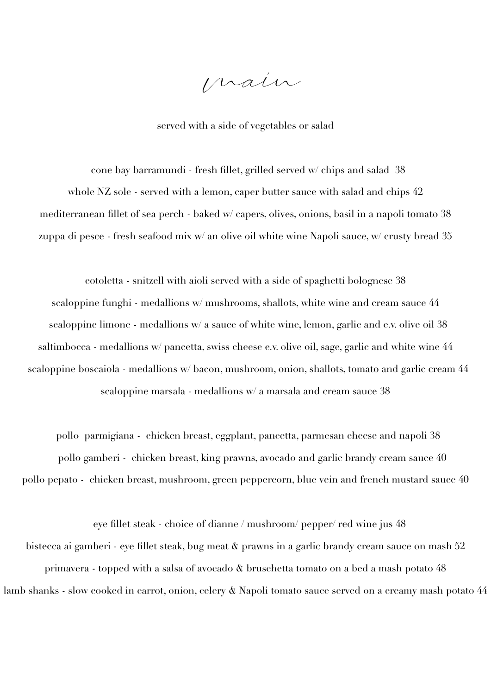main

served with a side of vegetables or salad

 cone bay barramundi - fresh fillet, grilled served w/ chips and salad 38 whole NZ sole - served with a lemon, caper butter sauce with salad and chips  $42$ mediterranean fillet of sea perch - baked w/ capers, olives, onions, basil in a napoli tomato 38 zuppa di pesce - fresh seafood mix w/ an olive oil white wine Napoli sauce, w/ crusty bread 35

cotoletta - snitzell with aioli served with a side of spaghetti bolognese 38 scaloppine funghi - medallions w/ mushrooms, shallots, white wine and cream sauce 44 scaloppine limone - medallions w/ a sauce of white wine, lemon, garlic and e.v. olive oil 38 saltimbocca - medallions w/ pancetta, swiss cheese e.v. olive oil, sage, garlic and white wine 44 scaloppine boscaiola - medallions w/ bacon, mushroom, onion, shallots, tomato and garlic cream 44 scaloppine marsala - medallions w/ a marsala and cream sauce 38

 pollo parmigiana - chicken breast, eggplant, pancetta, parmesan cheese and napoli 38 pollo gamberi - chicken breast, king prawns, avocado and garlic brandy cream sauce 40 pollo pepato - chicken breast, mushroom, green peppercorn, blue vein and french mustard sauce 40

 eye fillet steak - choice of dianne / mushroom/ pepper/ red wine jus 48 bistecca ai gamberi - eye fillet steak, bug meat & prawns in a garlic brandy cream sauce on mash 52 primavera - topped with a salsa of avocado & bruschetta tomato on a bed a mash potato 48 lamb shanks - slow cooked in carrot, onion, celery & Napoli tomato sauce served on a creamy mash potato 44